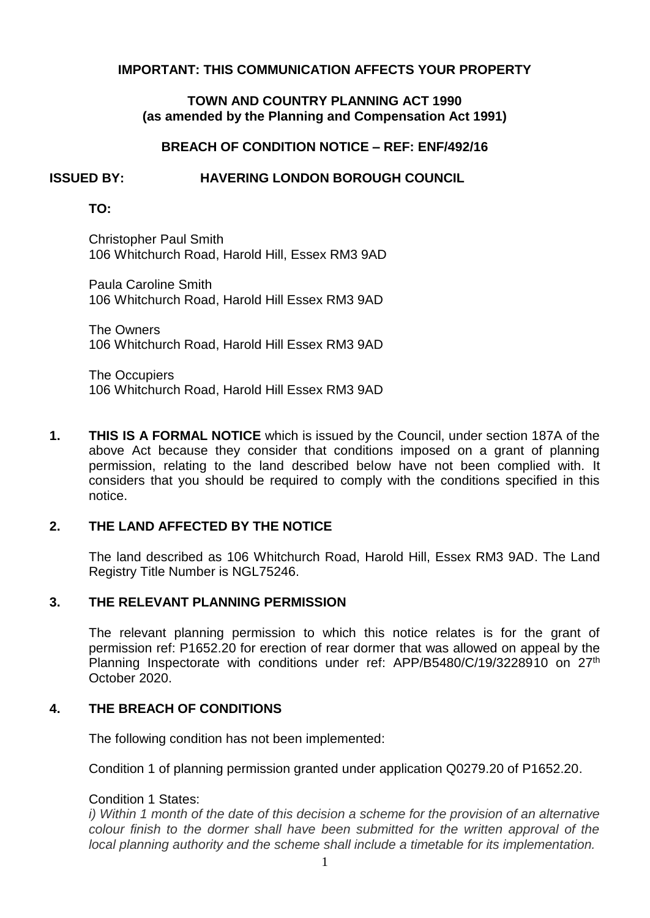# **IMPORTANT: THIS COMMUNICATION AFFECTS YOUR PROPERTY**

## **TOWN AND COUNTRY PLANNING ACT 1990 (as amended by the Planning and Compensation Act 1991)**

# **BREACH OF CONDITION NOTICE – REF: ENF/492/16**

#### **ISSUED BY: HAVERING LONDON BOROUGH COUNCIL**

## **TO:**

Christopher Paul Smith 106 Whitchurch Road, Harold Hill, Essex RM3 9AD

Paula Caroline Smith 106 Whitchurch Road, Harold Hill Essex RM3 9AD

The Owners 106 Whitchurch Road, Harold Hill Essex RM3 9AD

The Occupiers 106 Whitchurch Road, Harold Hill Essex RM3 9AD

 **THIS IS A FORMAL NOTICE** which is issued by the Council, under section 187A of the above Act because they consider that conditions imposed on a grant of planning permission, relating to the land described below have not been complied with. It considers that you should be required to comply with the conditions specified in this **1.**  notice.

### **2. THE LAND AFFECTED BY THE NOTICE**

 The land described as 106 Whitchurch Road, Harold Hill, Essex RM3 9AD. The Land Registry Title Number is NGL75246.

#### **3. THE RELEVANT PLANNING PERMISSION**

 The relevant planning permission to which this notice relates is for the grant of permission ref: P1652.20 for erection of rear dormer that was allowed on appeal by the Planning Inspectorate with conditions under ref: APP/B5480/C/19/3228910 on 27<sup>th</sup> October 2020.

#### **4. THE BREACH OF CONDITIONS**

The following condition has not been implemented:

Condition 1 of planning permission granted under application Q0279.20 of P1652.20.

### Condition 1 States:

 *i) Within 1 month of the date of this decision a scheme for the provision of an alternative colour finish to the dormer shall have been submitted for the written approval of the local planning authority and the scheme shall include a timetable for its implementation.*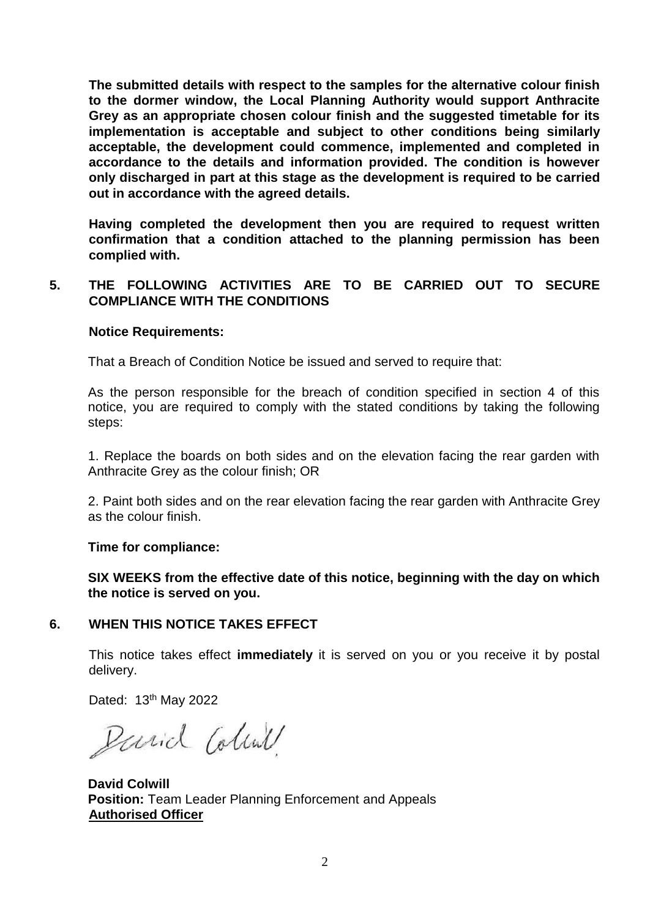**The submitted details with respect to the samples for the alternative colour finish to the dormer window, the Local Planning Authority would support Anthracite Grey as an appropriate chosen colour finish and the suggested timetable for its accordance to the details and information provided. The condition is however only discharged in part at this stage as the development is required to be carried implementation is acceptable and subject to other conditions being similarly acceptable, the development could commence, implemented and completed in out in accordance with the agreed details.** 

 **confirmation that a condition attached to the planning permission has been Having completed the development then you are required to request written complied with.** 

# **5. THE FOLLOWING ACTIVITIES ARE TO BE CARRIED OUT TO SECURE COMPLIANCE WITH THE CONDITIONS**

## **Notice Requirements:**

That a Breach of Condition Notice be issued and served to require that:

 As the person responsible for the breach of condition specified in section 4 of this notice, you are required to comply with the stated conditions by taking the following steps:

 1. Replace the boards on both sides and on the elevation facing the rear garden with Anthracite Grey as the colour finish; OR

 2. Paint both sides and on the rear elevation facing the rear garden with Anthracite Grey as the colour finish.

### **Time for compliance:**

**SIX WEEKS from the effective date of this notice, beginning with the day on which the notice is served on you.** 

# **6. WHEN THIS NOTICE TAKES EFFECT**

 This notice takes effect **immediately** it is served on you or you receive it by postal delivery.

Dated: 13th May 2022

Parid Colind

**David Colwill Position:** Team Leader Planning Enforcement and Appeals **Authorised Officer**